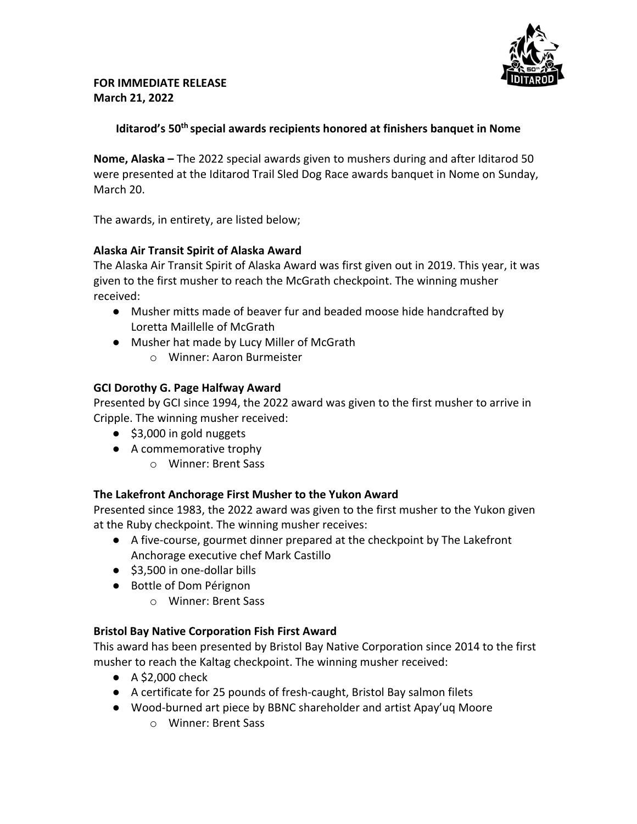

# **Iditarod's 50th special awards recipients honored at finishers banquet in Nome**

**Nome, Alaska –** The 2022 special awards given to mushers during and after Iditarod 50 were presented at the Iditarod Trail Sled Dog Race awards banquet in Nome on Sunday, March 20.

The awards, in entirety, are listed below;

### **Alaska Air Transit Spirit of Alaska Award**

The Alaska Air Transit Spirit of Alaska Award was first given out in 2019. This year, it was given to the first musher to reach the McGrath checkpoint. The winning musher received:

- Musher mitts made of beaver fur and beaded moose hide handcrafted by Loretta Maillelle of McGrath
- Musher hat made by Lucy Miller of McGrath
	- o Winner: Aaron Burmeister

## **GCI Dorothy G. Page Halfway Award**

Presented by GCI since 1994, the 2022 award was given to the first musher to arrive in Cripple. The winning musher received:

- \$3,000 in gold nuggets
- A commemorative trophy
	- o Winner: Brent Sass

# **The Lakefront Anchorage First Musher to the Yukon Award**

Presented since 1983, the 2022 award was given to the first musher to the Yukon given at the Ruby checkpoint. The winning musher receives:

- A five-course, gourmet dinner prepared at the checkpoint by The Lakefront Anchorage executive chef Mark Castillo
- \$3,500 in one-dollar bills
- Bottle of Dom Pérignon
	- o Winner: Brent Sass

# **Bristol Bay Native Corporation Fish First Award**

This award has been presented by Bristol Bay Native Corporation since 2014 to the first musher to reach the Kaltag checkpoint. The winning musher received:

- $\bullet$  A \$2,000 check
- A certificate for 25 pounds of fresh-caught, Bristol Bay salmon filets
- Wood-burned art piece by BBNC shareholder and artist Apay'uq Moore
	- o Winner: Brent Sass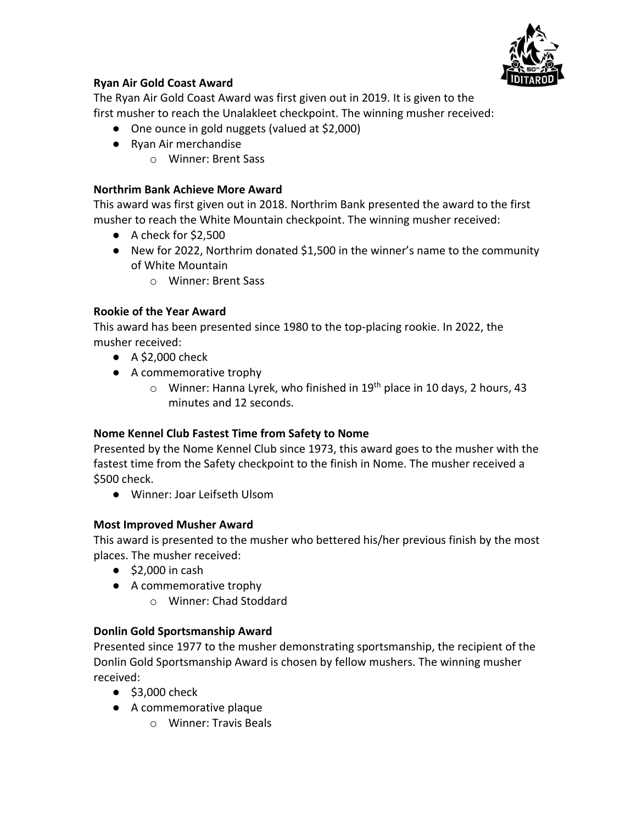

### **Ryan Air Gold Coast Award**

The Ryan Air Gold Coast Award was first given out in 2019. It is given to the first musher to reach the Unalakleet checkpoint. The winning musher received:

- One ounce in gold nuggets (valued at \$2,000)
- Ryan Air merchandise
	- o Winner: Brent Sass

### **Northrim Bank Achieve More Award**

This award was first given out in 2018. Northrim Bank presented the award to the first musher to reach the White Mountain checkpoint. The winning musher received:

- A check for \$2,500
- New for 2022, Northrim donated \$1,500 in the winner's name to the community of White Mountain
	- o Winner: Brent Sass

### **Rookie of the Year Award**

This award has been presented since 1980 to the top-placing rookie. In 2022, the musher received:

- $\bullet$  A \$2,000 check
- A commemorative trophy
	- $\circ$  Winner: Hanna Lyrek, who finished in 19<sup>th</sup> place in 10 days, 2 hours, 43 minutes and 12 seconds.

### **Nome Kennel Club Fastest Time from Safety to Nome**

Presented by the Nome Kennel Club since 1973, this award goes to the musher with the fastest time from the Safety checkpoint to the finish in Nome. The musher received a \$500 check.

● Winner: Joar Leifseth Ulsom

### **Most Improved Musher Award**

This award is presented to the musher who bettered his/her previous finish by the most places. The musher received:

- $\bullet$  \$2,000 in cash
- A commemorative trophy
	- o Winner: Chad Stoddard

### **Donlin Gold Sportsmanship Award**

Presented since 1977 to the musher demonstrating sportsmanship, the recipient of the Donlin Gold Sportsmanship Award is chosen by fellow mushers. The winning musher received:

- $\bullet$  \$3,000 check
- A commemorative plaque
	- o Winner: Travis Beals